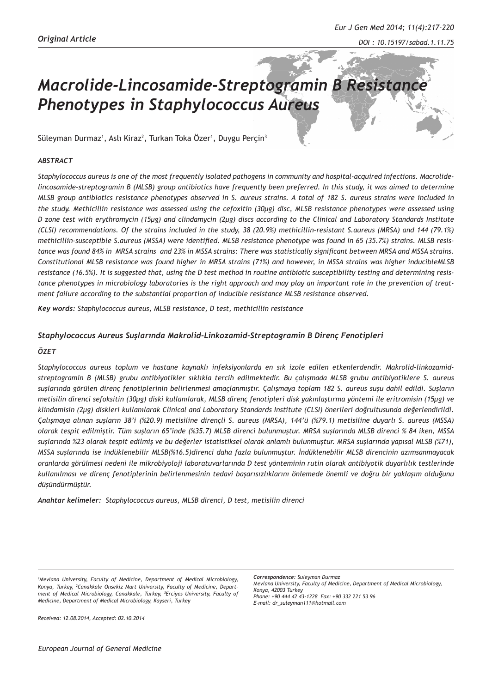# *Macrolide-Lincosamide-Streptogramin B Resistance Phenotypes in Staphylococcus Aureus*

Süleyman Durmaz<sup>1</sup>, Aslı Kiraz<sup>2</sup>, Turkan Toka Özer<sup>1</sup>, Duygu Perçin<sup>3</sup>

## *ABSTRACT*

*Staphylococcus aureus is one of the most frequently isolated pathogens in community and hospital-acquired infections. Macrolidelincosamide-streptogramin B (MLSB) group antibiotics have frequently been preferred. In this study, it was aimed to determine MLSB group antibiotics resistance phenotypes observed in S. aureus strains. A total of 182 S. aureus strains were included in the study. Methicillin resistance was assessed using the cefoxitin (30μg) disc, MLSB resistance phenotypes were assessed using D zone test with erythromycin (15μg) and clindamycin (2μg) discs according to the Clinical and Laboratory Standards Institute (CLSI) recommendations. Of the strains included in the study, 38 (20.9%) methicillin-resistant S.aureus (MRSA) and 144 (79.1%) methicillin-susceptible S.aureus (MSSA) were identified. MLSB resistance phenotype was found in 65 (35.7%) strains. MLSB resistance was found 84% in MRSA strains and 23% in MSSA strains: There was statistically significant between MRSA and MSSA strains. Constitutional MLSB resistance was found higher in MRSA strains (71%) and however, in MSSA strains was higher inducibleMLSB resistance (16.5%). It is suggested that, using the D test method in routine antibiotic susceptibility testing and determining resistance phenotypes in microbiology laboratories is the right approach and may play an important role in the prevention of treatment failure according to the substantial proportion of inducible resistance MLSB resistance observed.*

*Key words: Staphylococcus aureus, MLSB resistance, D test, methicillin resistance*

## *Staphylococcus Aureus Suşlarında Makrolid-Linkozamid-Streptogramin B Direnç Fenotipleri*

## *ÖZET*

*Staphylococcus aureus toplum ve hastane kaynaklı infeksiyonlarda en sık izole edilen etkenlerdendir. Makrolid-linkozamidstreptogramin B (MLSB) grubu antibiyotikler sıklıkla tercih edilmektedir. Bu çalışmada MLSB grubu antibiyotiklere S. aureus suşlarında görülen direnç fenotiplerinin belirlenmesi amaçlanmıştır. Çalışmaya toplam 182 S. aureus suşu dahil edildi. Suşların metisilin direnci sefoksitin (30µg) diski kullanılarak, MLSB direnç fenotipleri disk yakınlaştırma yöntemi ile eritromisin (15µg) ve klindamisin (2µg) diskleri kullanılarak Clinical and Laboratory Standards Institute (CLSI) önerileri doğrultusunda değerlendirildi. Çalışmaya alınan suşların 38'i (%20.9) metisiline dirençli S. aureus (MRSA), 144'ü (%79.1) metisiline duyarlı S. aureus (MSSA) olarak tespit edilmiştir. Tüm suşların 65'inde (%35.7) MLSB direnci bulunmuştur. MRSA suşlarında MLSB direnci % 84 iken, MSSA suşlarında %23 olarak tespit edilmiş ve bu değerler istatistiksel olarak anlamlı bulunmuştur. MRSA suşlarında yapısal MLSB (%71), MSSA suşlarında ise indüklenebilir MLSB(%16.5)direnci daha fazla bulunmuştur. İndüklenebilir MLSB direncinin azımsanmayacak oranlarda görülmesi nedeni ile mikrobiyoloji laboratuvarlarında D test yönteminin rutin olarak antibiyotik duyarlılık testlerinde kullanılması ve direnç fenotiplerinin belirlenmesinin tedavi başarısızlıklarını önlemede önemli ve doğru bir yaklaşım olduğunu düşündürmüştür.* 

*Anahtar kelimeler: Staphylococcus aureus, MLSB direnci, D test, metisilin direnci*

*1 Mevlana University, Faculty of Medicine, Department of Medical Microbiology, Konya, Turkey, <sup>2</sup> Canakkale Onsekiz Mart University, Faculty of Medicine, Department of Medical Microbiology, Canakkale, Turkey, <sup>3</sup> Erciyes University, Faculty of Medicine, Department of Medical Microbiology, Kayseri, Turkey* 

*Correspondence: Suleyman Durmaz Mevlana University, Faculty of Medicine, Department of Medical Microbiology, Konya, 42003 Turkey Phone: +90 444 42 43-1228 Fax: +90 332 221 53 96 E-mail: dr\_suleyman111@hotmail.com*

*Received: 12.08.2014, Accepted: 02.10.2014*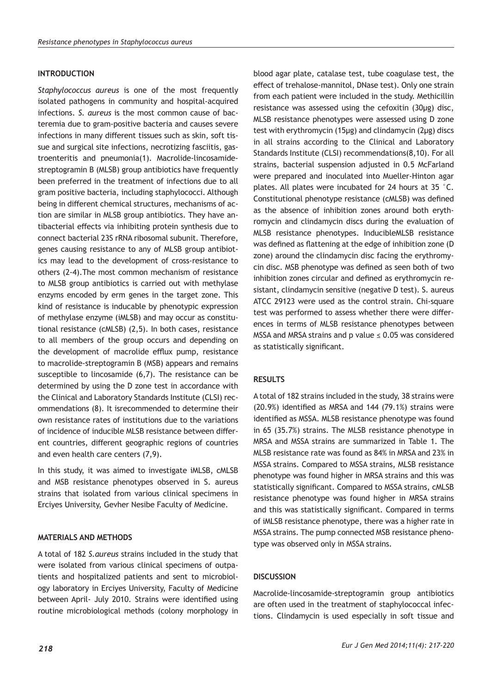## **INTRODUCTION**

*Staphylococcus aureus* is one of the most frequently isolated pathogens in community and hospital-acquired infections. *S. aureus* is the most common cause of bacteremia due to gram-positive bacteria and causes severe infections in many different tissues such as skin, soft tissue and surgical site infections, necrotizing fasciitis, gastroenteritis and pneumonia(1). Macrolide-lincosamidestreptogramin B (MLSB) group antibiotics have frequently been preferred in the treatment of infections due to all gram positive bacteria, including staphylococci. Although being in different chemical structures, mechanisms of action are similar in MLSB group antibiotics. They have antibacterial effects via inhibiting protein synthesis due to connect bacterial 23S rRNA ribosomal subunit. Therefore, genes causing resistance to any of MLSB group antibiotics may lead to the development of cross-resistance to others (2-4).The most common mechanism of resistance to MLSB group antibiotics is carried out with methylase enzyms encoded by erm genes in the target zone. This kind of resistance is inducable by phenotypic expression of methylase enzyme (iMLSB) and may occur as constitutional resistance (cMLSB) (2,5). In both cases, resistance to all members of the group occurs and depending on the development of macrolide efflux pump, resistance to macrolide-streptogramin B (MSB) appears and remains susceptible to lincosamide (6,7). The resistance can be determined by using the D zone test in accordance with the Clinical and Laboratory Standards Institute (CLSI) recommendations (8). It isrecommended to determine their own resistance rates of institutions due to the variations of incidence of inducible MLSB resistance between different countries, different geographic regions of countries and even health care centers (7,9).

In this study, it was aimed to investigate iMLSB, cMLSB and MSB resistance phenotypes observed in S. aureus strains that isolated from various clinical specimens in Erciyes University, Gevher Nesibe Faculty of Medicine.

## **MATERIALS AND METHODS**

A total of 182 *S.aureus* strains included in the study that were isolated from various clinical specimens of outpatients and hospitalized patients and sent to microbiology laboratory in Erciyes University, Faculty of Medicine between April- July 2010. Strains were identified using routine microbiological methods (colony morphology in

blood agar plate, catalase test, tube coagulase test, the effect of trehalose-mannitol, DNase test). Only one strain from each patient were included in the study. Methicillin resistance was assessed using the cefoxitin (30μg) disc, MLSB resistance phenotypes were assessed using D zone test with erythromycin (15μg) and clindamycin (2μg) discs in all strains according to the Clinical and Laboratory Standards Institute (CLSI) recommendations(8,10). For all strains, bacterial suspension adjusted in 0.5 McFarland were prepared and inoculated into Mueller-Hinton agar plates. All plates were incubated for 24 hours at 35 °C. Constitutional phenotype resistance (cMLSB) was defined as the absence of inhibition zones around both erythromycin and clindamycin discs during the evaluation of MLSB resistance phenotypes. InducibleMLSB resistance was defined as flattening at the edge of inhibition zone (D zone) around the clindamycin disc facing the erythromycin disc. MSB phenotype was defined as seen both of two inhibition zones circular and defined as erythromycin resistant, clindamycin sensitive (negative D test). S. aureus ATCC 29123 were used as the control strain. Chi-square test was performed to assess whether there were differences in terms of MLSB resistance phenotypes between MSSA and MRSA strains and p value  $\leq$  0.05 was considered as statistically significant.

## **RESULTS**

A total of 182 strains included in the study, 38 strains were (20.9%) identified as MRSA and 144 (79.1%) strains were identified as MSSA. MLSB resistance phenotype was found in 65 (35.7%) strains. The MLSB resistance phenotype in MRSA and MSSA strains are summarized in Table 1. The MLSB resistance rate was found as 84% in MRSA and 23% in MSSA strains. Compared to MSSA strains, MLSB resistance phenotype was found higher in MRSA strains and this was statistically significant. Compared to MSSA strains, cMLSB resistance phenotype was found higher in MRSA strains and this was statistically significant. Compared in terms of iMLSB resistance phenotype, there was a higher rate in MSSA strains. The pump connected MSB resistance phenotype was observed only in MSSA strains.

## **DISCUSSION**

Macrolide-lincosamide-streptogramin group antibiotics are often used in the treatment of staphylococcal infections. Clindamycin is used especially in soft tissue and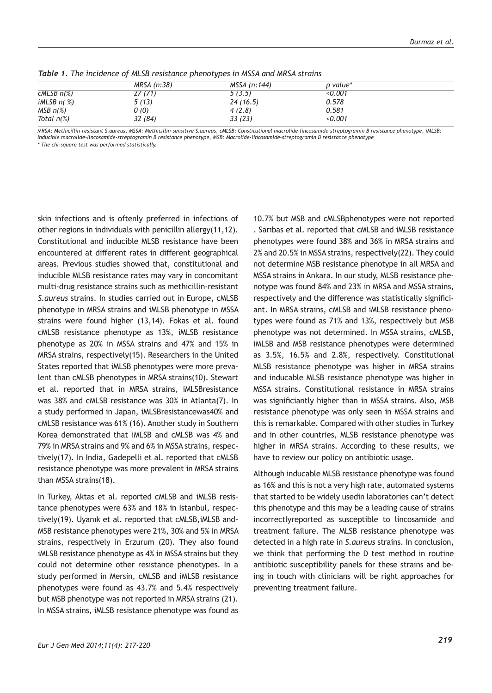|                 | MRSA (n:38) | MSSA (n:144) | p value* |  |
|-----------------|-------------|--------------|----------|--|
| $CMLSB$ $n(\%)$ | 27 (71)     | 5(3.5)       | 0.001    |  |
| iMLSB $n$ (%)   | 5(13)       | 24(16.5)     | 0.578    |  |
| $MSB n(\%)$     | 0(0)        | 4(2.8)       | 0.581    |  |
| Total $n\ll 8$  | 32(84)      | 33(23)       | < 0.001  |  |

*Table 1. The incidence of MLSB resistance phenotypes in MSSA and MRSA strains*

*MRSA: Methicillin-resistant S.aureus, MSSA: Methicillin-sensitive S.aureus, cMLSB: Constitutional macrolide-lincosamide-streptogramin B resistance phenotype, iMLSB: Inducible macrolide-lincosamide-streptogramin B resistance phenotype, MSB: Macrolide-lincosamide-streptogramin B resistance phenotype*

*\* The chi-square test was performed statistically.*

skin infections and is oftenly preferred in infections of other regions in individuals with penicillin allergy(11,12). Constitutional and inducible MLSB resistance have been encountered at different rates in different geographical areas. Previous studies showed that, constitutional and inducible MLSB resistance rates may vary in concomitant multi-drug resistance strains such as methicillin-resistant *S.aureus* strains. In studies carried out in Europe, cMLSB phenotype in MRSA strains and iMLSB phenotype in MSSA strains were found higher (13,14). Fokas et al. found cMLSB resistance phenotype as 13%, iMLSB resistance phenotype as 20% in MSSA strains and 47% and 15% in MRSA strains, respectively(15). Researchers in the United States reported that iMLSB phenotypes were more prevalent than cMLSB phenotypes in MRSA strains(10). Stewart et al. reported that in MRSA strains, iMLSBresistance was 38% and cMLSB resistance was 30% in Atlanta(7). In a study performed in Japan, iMLSBresistancewas40% and cMLSB resistance was 61% (16). Another study in Southern Korea demonstrated that iMLSB and cMLSB was 4% and 79% in MRSA strains and 9% and 6% in MSSA strains, respectively(17). In India, Gadepelli et al. reported that cMLSB resistance phenotype was more prevalent in MRSA strains than MSSA strains(18).

In Turkey, Aktas et al. reported cMLSB and iMLSB resistance phenotypes were 63% and 18% in Istanbul, respectively(19). Uyanık et al. reported that cMLSB,iMLSB and-MSB resistance phenotypes were 21%, 30% and 5% in MRSA strains, respectively in Erzurum (20). They also found iMLSB resistance phenotype as 4% in MSSA strains but they could not determine other resistance phenotypes. In a study performed in Mersin, cMLSB and iMLSB resistance phenotypes were found as 43.7% and 5.4% respectively but MSB phenotype was not reported in MRSA strains (21). In MSSA strains, iMLSB resistance phenotype was found as

10.7% but MSB and cMLSBphenotypes were not reported . Sarıbas et al. reported that cMLSB and iMLSB resistance phenotypes were found 38% and 36% in MRSA strains and 2% and 20.5% in MSSA strains, respectively(22). They could not determine MSB resistance phenotype in all MRSA and MSSA strains in Ankara. In our study, MLSB resistance phenotype was found 84% and 23% in MRSA and MSSA strains, respectively and the difference was statistically significiant. In MRSA strains, cMLSB and iMLSB resistance phenotypes were found as 71% and 13%, respectively but MSB phenotype was not determined. In MSSA strains, cMLSB, iMLSB and MSB resistance phenotypes were determined as 3.5%, 16.5% and 2.8%, respectively. Constitutional MLSB resistance phenotype was higher in MRSA strains and inducable MLSB resistance phenotype was higher in MSSA strains. Constitutional resistance in MRSA strains was significiantly higher than in MSSA strains. Also, MSB resistance phenotype was only seen in MSSA strains and this is remarkable. Compared with other studies in Turkey and in other countries, MLSB resistance phenotype was higher in MRSA strains. According to these results, we have to review our policy on antibiotic usage.

Although inducable MLSB resistance phenotype was found as 16% and this is not a very high rate, automated systems that started to be widely usedin laboratories can't detect this phenotype and this may be a leading cause of strains incorrectlyreported as susceptible to lincosamide and treatment failure. The MLSB resistance phenotype was detected in a high rate in *S.aureus* strains. In conclusion, we think that performing the D test method in routine antibiotic susceptibility panels for these strains and being in touch with clinicians will be right approaches for preventing treatment failure.